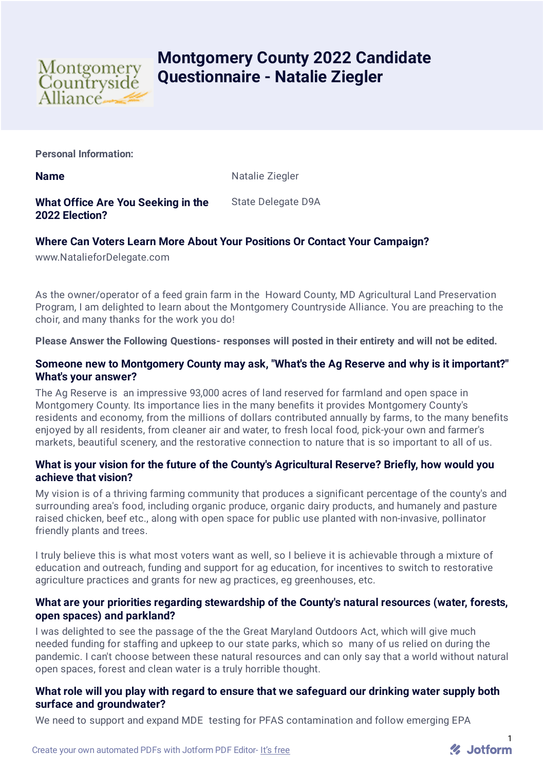

# **Montgomery County 2022 Candidate Questionnaire - Natalie Ziegler**

**Personal Information:**

**Name** Natalie Ziegler

**What Office Are You Seeking in the 2022 Election?** State Delegate D9A

# **Where Can Voters Learn More About Your Positions Or Contact Your Campaign?**

www.NatalieforDelegate.com

As the owner/operator of a feed grain farm in the Howard County, MD Agricultural Land Preservation Program, I am delighted to learn about the Montgomery Countryside Alliance. You are preaching to the choir, and many thanks for the work you do!

**Please Answer the Following Questions- responses will posted in their entirety and will not be edited.**

## **Someone new to Montgomery County may ask, "What's the Ag Reserve and why is it important?" What's your answer?**

The Ag Reserve is an impressive 93,000 acres of land reserved for farmland and open space in Montgomery County. Its importance lies in the many benefits it provides Montgomery County's residents and economy, from the millions of dollars contributed annually by farms, to the many benefits enjoyed by all residents, from cleaner air and water, to fresh local food, pick-your own and farmer's markets, beautiful scenery, and the restorative connection to nature that is so important to all of us.

# **What is your vision for the future of the County's Agricultural Reserve? Briefly, how would you achieve that vision?**

My vision is of a thriving farming community that produces a significant percentage of the county's and surrounding area's food, including organic produce, organic dairy products, and humanely and pasture raised chicken, beef etc., along with open space for public use planted with non-invasive, pollinator friendly plants and trees.

I truly believe this is what most voters want as well, so I believe it is achievable through a mixture of education and outreach, funding and support for ag education, for incentives to switch to restorative agriculture practices and grants for new ag practices, eg greenhouses, etc.

# **What are your priorities regarding stewardship of the County's natural resources (water, forests, open spaces) and parkland?**

I was delighted to see the passage of the the Great Maryland Outdoors Act, which will give much needed funding for staffing and upkeep to our state parks, which so many of us relied on during the pandemic. I can't choose between these natural resources and can only say that a world without natural open spaces, forest and clean water is a truly horrible thought.

# **What role will you play with regard to ensure that we safeguard our drinking water supply both surface and groundwater?**

We need to support and expand MDE testing for PFAS contamination and follow emerging EPA

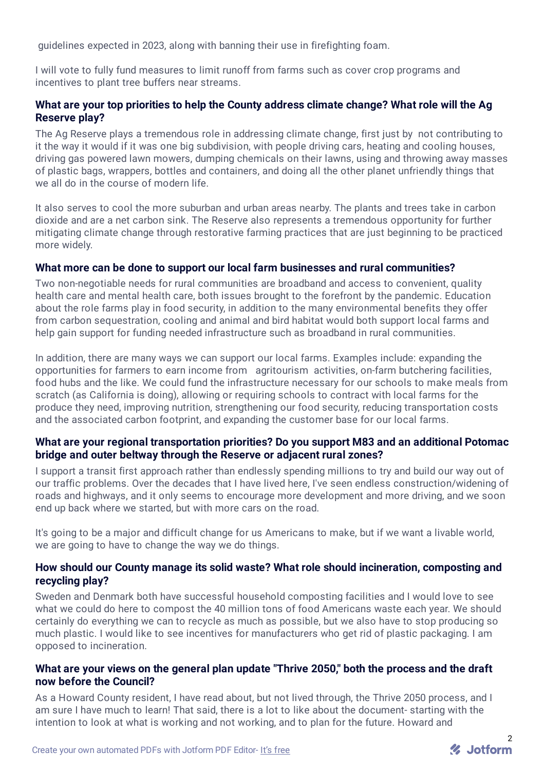guidelines expected in 2023, along with banning their use in firefighting foam.

I will vote to fully fund measures to limit runoff from farms such as cover crop programs and incentives to plant tree buffers near streams.

# **What are your top priorities to help the County address climate change? What role will the Ag Reserve play?**

The Ag Reserve plays a tremendous role in addressing climate change, first just by not contributing to it the way it would if it was one big subdivision, with people driving cars, heating and cooling houses, driving gas powered lawn mowers, dumping chemicals on their lawns, using and throwing away masses of plastic bags, wrappers, bottles and containers, and doing all the other planet unfriendly things that we all do in the course of modern life.

It also serves to cool the more suburban and urban areas nearby. The plants and trees take in carbon dioxide and are a net carbon sink. The Reserve also represents a tremendous opportunity for further mitigating climate change through restorative farming practices that are just beginning to be practiced more widely.

#### **What more can be done to support our local farm businesses and rural communities?**

Two non-negotiable needs for rural communities are broadband and access to convenient, quality health care and mental health care, both issues brought to the forefront by the pandemic. Education about the role farms play in food security, in addition to the many environmental benefits they offer from carbon sequestration, cooling and animal and bird habitat would both support local farms and help gain support for funding needed infrastructure such as broadband in rural communities.

In addition, there are many ways we can support our local farms. Examples include: expanding the opportunities for farmers to earn income from agritourism activities, on-farm butchering facilities, food hubs and the like. We could fund the infrastructure necessary for our schools to make meals from scratch (as California is doing), allowing or requiring schools to contract with local farms for the produce they need, improving nutrition, strengthening our food security, reducing transportation costs and the associated carbon footprint, and expanding the customer base for our local farms.

#### **What are your regional transportation priorities? Do you support M83 and an additional Potomac bridge and outer beltway through the Reserve or adjacent rural zones?**

I support a transit first approach rather than endlessly spending millions to try and build our way out of our traffic problems. Over the decades that I have lived here, I've seen endless construction/widening of roads and highways, and it only seems to encourage more development and more driving, and we soon end up back where we started, but with more cars on the road.

It's going to be a major and difficult change for us Americans to make, but if we want a livable world, we are going to have to change the way we do things.

#### **How should our County manage its solid waste? What role should incineration, composting and recycling play?**

Sweden and Denmark both have successful household composting facilities and I would love to see what we could do here to compost the 40 million tons of food Americans waste each year. We should certainly do everything we can to recycle as much as possible, but we also have to stop producing so much plastic. I would like to see incentives for manufacturers who get rid of plastic packaging. I am opposed to incineration.

#### **What are your views on the general plan update "Thrive 2050," both the process and the draft now before the Council?**

As a Howard County resident, I have read about, but not lived through, the Thrive 2050 process, and I am sure I have much to learn! That said, there is a lot to like about the document- starting with the intention to look at what is working and not working, and to plan for the future. Howard and